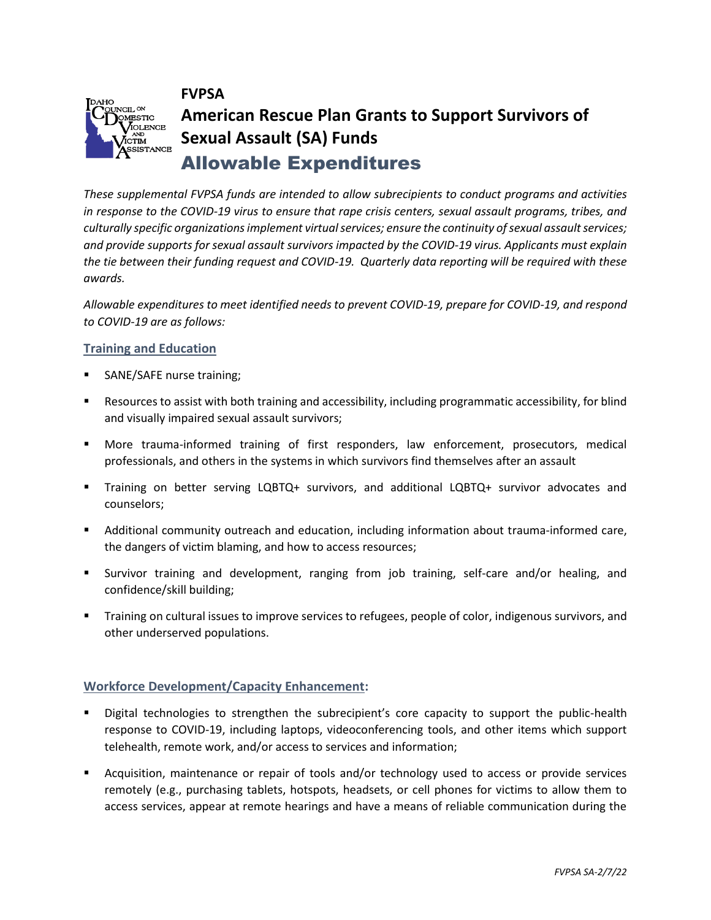



# **American Rescue Plan Grants to Support Survivors of Sexual Assault (SA) Funds** Allowable Expenditures

*These supplemental FVPSA funds are intended to allow subrecipients to conduct programs and activities in response to the COVID-19 virus to ensure that rape crisis centers, sexual assault programs, tribes, and culturally specific organizations implement virtual services; ensure the continuity of sexual assault services; and provide supports for sexual assault survivors impacted by the COVID-19 virus. Applicants must explain the tie between their funding request and COVID-19. Quarterly data reporting will be required with these awards.*

*Allowable expenditures to meet identified needs to prevent COVID-19, prepare for COVID-19, and respond to COVID-19 are as follows:* 

## **Training and Education**

- SANE/SAFE nurse training;
- Resources to assist with both training and accessibility, including programmatic accessibility, for blind and visually impaired sexual assault survivors;
- More trauma-informed training of first responders, law enforcement, prosecutors, medical professionals, and others in the systems in which survivors find themselves after an assault
- Training on better serving LQBTQ+ survivors, and additional LQBTQ+ survivor advocates and counselors;
- Additional community outreach and education, including information about trauma-informed care, the dangers of victim blaming, and how to access resources;
- Survivor training and development, ranging from job training, self-care and/or healing, and confidence/skill building;
- Training on cultural issues to improve services to refugees, people of color, indigenous survivors, and other underserved populations.

## **Workforce Development/Capacity Enhancement:**

- **EXECT** Digital technologies to strengthen the subrecipient's core capacity to support the public-health response to COVID-19, including laptops, videoconferencing tools, and other items which support telehealth, remote work, and/or access to services and information;
- Acquisition, maintenance or repair of tools and/or technology used to access or provide services remotely (e.g., purchasing tablets, hotspots, headsets, or cell phones for victims to allow them to access services, appear at remote hearings and have a means of reliable communication during the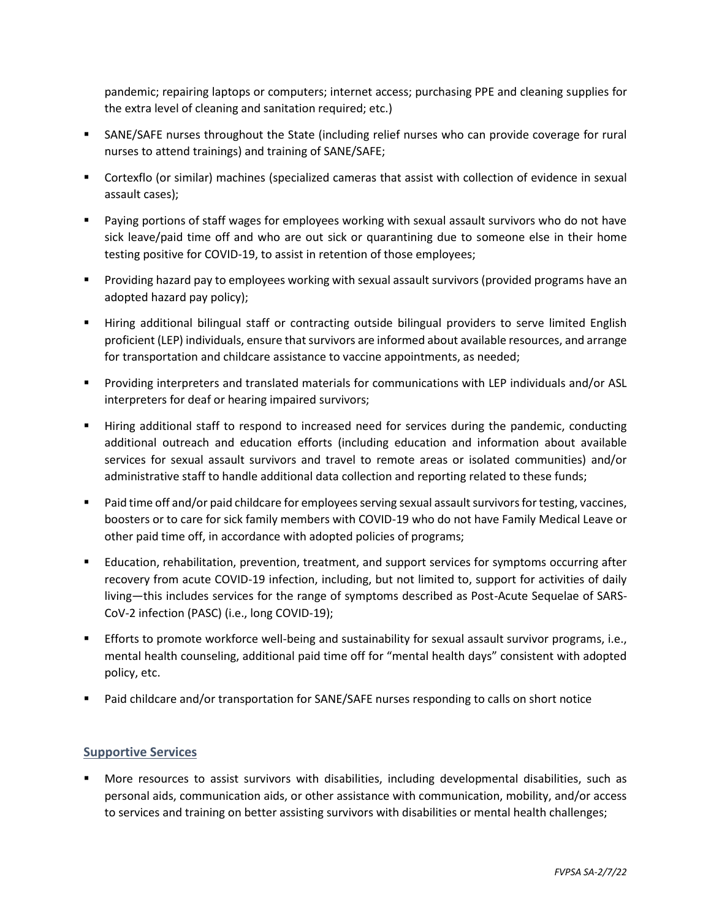pandemic; repairing laptops or computers; internet access; purchasing PPE and cleaning supplies for the extra level of cleaning and sanitation required; etc.)

- **■** SANE/SAFE nurses throughout the State (including relief nurses who can provide coverage for rural nurses to attend trainings) and training of SANE/SAFE;
- Cortexflo (or similar) machines (specialized cameras that assist with collection of evidence in sexual assault cases);
- Paying portions of staff wages for employees working with sexual assault survivors who do not have sick leave/paid time off and who are out sick or quarantining due to someone else in their home testing positive for COVID-19, to assist in retention of those employees;
- Providing hazard pay to employees working with sexual assault survivors (provided programs have an adopted hazard pay policy);
- **■** Hiring additional bilingual staff or contracting outside bilingual providers to serve limited English proficient (LEP) individuals, ensure that survivors are informed about available resources, and arrange for transportation and childcare assistance to vaccine appointments, as needed;
- Providing interpreters and translated materials for communications with LEP individuals and/or ASL interpreters for deaf or hearing impaired survivors;
- Hiring additional staff to respond to increased need for services during the pandemic, conducting additional outreach and education efforts (including education and information about available services for sexual assault survivors and travel to remote areas or isolated communities) and/or administrative staff to handle additional data collection and reporting related to these funds;
- Paid time off and/or paid childcare for employees serving sexual assault survivors for testing, vaccines, boosters or to care for sick family members with COVID-19 who do not have Family Medical Leave or other paid time off, in accordance with adopted policies of programs;
- **Education, rehabilitation, prevention, treatment, and support services for symptoms occurring after** recovery from acute COVID-19 infection, including, but not limited to, support for activities of daily living—this includes services for the range of symptoms described as Post-Acute Sequelae of SARS-CoV-2 infection (PASC) (i.e., long COVID-19);
- Efforts to promote workforce well-being and sustainability for sexual assault survivor programs, i.e., mental health counseling, additional paid time off for "mental health days" consistent with adopted policy, etc.
- Paid childcare and/or transportation for SANE/SAFE nurses responding to calls on short notice

## **Supportive Services**

■ More resources to assist survivors with disabilities, including developmental disabilities, such as personal aids, communication aids, or other assistance with communication, mobility, and/or access to services and training on better assisting survivors with disabilities or mental health challenges;